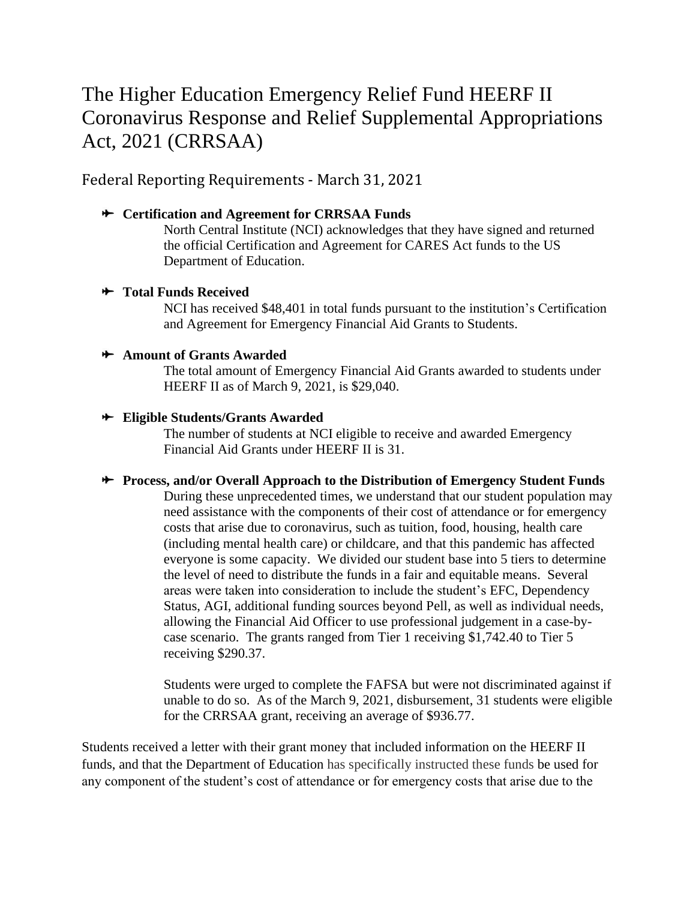# The Higher Education Emergency Relief Fund HEERF II Coronavirus Response and Relief Supplemental Appropriations Act, 2021 (CRRSAA)

Federal Reporting Requirements - March 31, 2021

## **Certification and Agreement for CRRSAA Funds**

North Central Institute (NCI) acknowledges that they have signed and returned the official Certification and Agreement for CARES Act funds to the US Department of Education.

## **Total Funds Received**

NCI has received \$48,401 in total funds pursuant to the institution's Certification and Agreement for Emergency Financial Aid Grants to Students.

#### **Amount of Grants Awarded**

The total amount of Emergency Financial Aid Grants awarded to students under HEERF II as of March 9, 2021, is \$29,040.

## **Eligible Students/Grants Awarded**

The number of students at NCI eligible to receive and awarded Emergency Financial Aid Grants under HEERF II is 31.

#### **Process, and/or Overall Approach to the Distribution of Emergency Student Funds**

During these unprecedented times, we understand that our student population may need assistance with the components of their cost of attendance or for emergency costs that arise due to coronavirus, such as tuition, food, housing, health care (including mental health care) or childcare, and that this pandemic has affected everyone is some capacity. We divided our student base into 5 tiers to determine the level of need to distribute the funds in a fair and equitable means. Several areas were taken into consideration to include the student's EFC, Dependency Status, AGI, additional funding sources beyond Pell, as well as individual needs, allowing the Financial Aid Officer to use professional judgement in a case-bycase scenario. The grants ranged from Tier 1 receiving \$1,742.40 to Tier 5 receiving \$290.37.

Students were urged to complete the FAFSA but were not discriminated against if unable to do so. As of the March 9, 2021, disbursement, 31 students were eligible for the CRRSAA grant, receiving an average of \$936.77.

Students received a letter with their grant money that included information on the HEERF II funds, and that the Department of Education has specifically instructed these funds be used for any component of the student's cost of attendance or for emergency costs that arise due to the